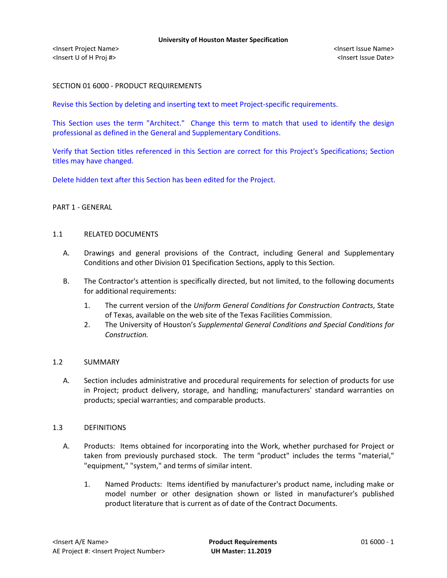# SECTION 01 6000 - PRODUCT REQUIREMENTS

Revise this Section by deleting and inserting text to meet Project-specific requirements.

This Section uses the term "Architect." Change this term to match that used to identify the design professional as defined in the General and Supplementary Conditions.

Verify that Section titles referenced in this Section are correct for this Project's Specifications; Section titles may have changed.

Delete hidden text after this Section has been edited for the Project.

### PART 1 - GENERAL

### 1.1 RELATED DOCUMENTS

- A. Drawings and general provisions of the Contract, including General and Supplementary Conditions and other Division 01 Specification Sections, apply to this Section.
- B. The Contractor's attention is specifically directed, but not limited, to the following documents for additional requirements:
	- 1. The current version of the *Uniform General Conditions for Construction Contracts*, State of Texas, available on the web site of the Texas Facilities Commission.
	- 2. The University of Houston's *Supplemental General Conditions and Special Conditions for Construction.*

## 1.2 SUMMARY

A. Section includes administrative and procedural requirements for selection of products for use in Project; product delivery, storage, and handling; manufacturers' standard warranties on products; special warranties; and comparable products.

### 1.3 DEFINITIONS

- A. Products: Items obtained for incorporating into the Work, whether purchased for Project or taken from previously purchased stock. The term "product" includes the terms "material," "equipment," "system," and terms of similar intent.
	- 1. Named Products: Items identified by manufacturer's product name, including make or model number or other designation shown or listed in manufacturer's published product literature that is current as of date of the Contract Documents.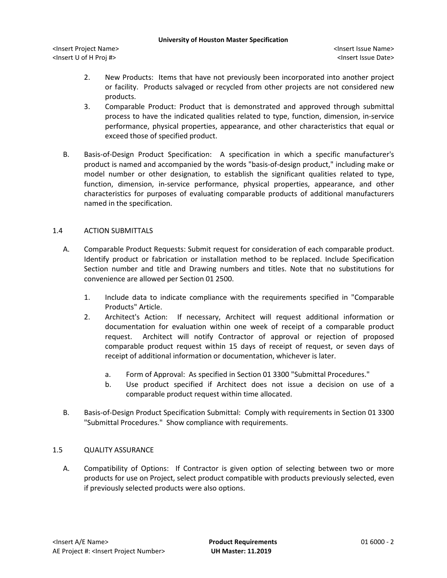#### **University of Houston Master Specification**

<Insert Project Name> <Insert Issue Name> <Insert U of H Proj #> <Insert Issue Date>

- 2. New Products: Items that have not previously been incorporated into another project or facility. Products salvaged or recycled from other projects are not considered new products.
- 3. Comparable Product: Product that is demonstrated and approved through submittal process to have the indicated qualities related to type, function, dimension, in-service performance, physical properties, appearance, and other characteristics that equal or exceed those of specified product.
- B. Basis-of-Design Product Specification: A specification in which a specific manufacturer's product is named and accompanied by the words "basis-of-design product," including make or model number or other designation, to establish the significant qualities related to type, function, dimension, in-service performance, physical properties, appearance, and other characteristics for purposes of evaluating comparable products of additional manufacturers named in the specification.

# 1.4 ACTION SUBMITTALS

- A. Comparable Product Requests: Submit request for consideration of each comparable product. Identify product or fabrication or installation method to be replaced. Include Specification Section number and title and Drawing numbers and titles. Note that no substitutions for convenience are allowed per Section 01 2500.
	- 1. Include data to indicate compliance with the requirements specified in "Comparable Products" Article.
	- 2. Architect's Action: If necessary, Architect will request additional information or documentation for evaluation within one week of receipt of a comparable product request. Architect will notify Contractor of approval or rejection of proposed comparable product request within 15 days of receipt of request, or seven days of receipt of additional information or documentation, whichever is later.
		- a. Form of Approval: As specified in Section 01 3300 "Submittal Procedures."
		- b. Use product specified if Architect does not issue a decision on use of a comparable product request within time allocated.
- B. Basis-of-Design Product Specification Submittal: Comply with requirements in Section 01 3300 "Submittal Procedures." Show compliance with requirements.

## 1.5 QUALITY ASSURANCE

A. Compatibility of Options: If Contractor is given option of selecting between two or more products for use on Project, select product compatible with products previously selected, even if previously selected products were also options.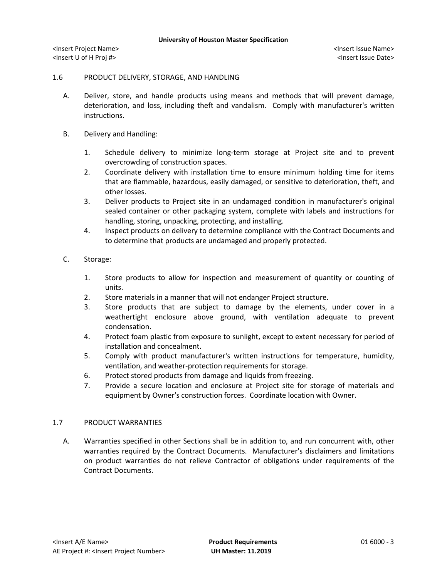<Insert Project Name> <Insert Issue Name> <Insert U of H Proj #> <Insert Issue Date>

#### 1.6 PRODUCT DELIVERY, STORAGE, AND HANDLING

- A. Deliver, store, and handle products using means and methods that will prevent damage, deterioration, and loss, including theft and vandalism. Comply with manufacturer's written instructions.
- B. Delivery and Handling:
	- 1. Schedule delivery to minimize long-term storage at Project site and to prevent overcrowding of construction spaces.
	- 2. Coordinate delivery with installation time to ensure minimum holding time for items that are flammable, hazardous, easily damaged, or sensitive to deterioration, theft, and other losses.
	- 3. Deliver products to Project site in an undamaged condition in manufacturer's original sealed container or other packaging system, complete with labels and instructions for handling, storing, unpacking, protecting, and installing.
	- 4. Inspect products on delivery to determine compliance with the Contract Documents and to determine that products are undamaged and properly protected.

### C. Storage:

- 1. Store products to allow for inspection and measurement of quantity or counting of units.
- 2. Store materials in a manner that will not endanger Project structure.
- 3. Store products that are subject to damage by the elements, under cover in a weathertight enclosure above ground, with ventilation adequate to prevent condensation.
- 4. Protect foam plastic from exposure to sunlight, except to extent necessary for period of installation and concealment.
- 5. Comply with product manufacturer's written instructions for temperature, humidity, ventilation, and weather-protection requirements for storage.
- 6. Protect stored products from damage and liquids from freezing.
- 7. Provide a secure location and enclosure at Project site for storage of materials and equipment by Owner's construction forces. Coordinate location with Owner.

### 1.7 PRODUCT WARRANTIES

A. Warranties specified in other Sections shall be in addition to, and run concurrent with, other warranties required by the Contract Documents. Manufacturer's disclaimers and limitations on product warranties do not relieve Contractor of obligations under requirements of the Contract Documents.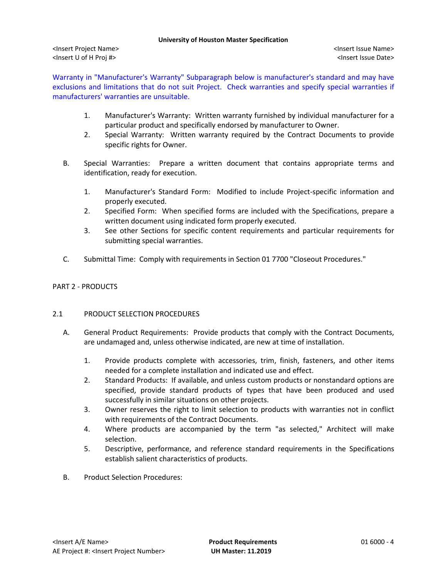#### **University of Houston Master Specification**

<Insert Project Name> <Insert Issue Name> <Insert U of H Proj #> <Insert Issue Date>

Warranty in "Manufacturer's Warranty" Subparagraph below is manufacturer's standard and may have exclusions and limitations that do not suit Project. Check warranties and specify special warranties if manufacturers' warranties are unsuitable.

- 1. Manufacturer's Warranty: Written warranty furnished by individual manufacturer for a particular product and specifically endorsed by manufacturer to Owner.
- 2. Special Warranty: Written warranty required by the Contract Documents to provide specific rights for Owner.
- B. Special Warranties: Prepare a written document that contains appropriate terms and identification, ready for execution.
	- 1. Manufacturer's Standard Form: Modified to include Project-specific information and properly executed.
	- 2. Specified Form: When specified forms are included with the Specifications, prepare a written document using indicated form properly executed.
	- 3. See other Sections for specific content requirements and particular requirements for submitting special warranties.
- C. Submittal Time: Comply with requirements in Section 01 7700 "Closeout Procedures."

# PART 2 - PRODUCTS

# 2.1 PRODUCT SELECTION PROCEDURES

- A. General Product Requirements: Provide products that comply with the Contract Documents, are undamaged and, unless otherwise indicated, are new at time of installation.
	- 1. Provide products complete with accessories, trim, finish, fasteners, and other items needed for a complete installation and indicated use and effect.
	- 2. Standard Products: If available, and unless custom products or nonstandard options are specified, provide standard products of types that have been produced and used successfully in similar situations on other projects.
	- 3. Owner reserves the right to limit selection to products with warranties not in conflict with requirements of the Contract Documents.
	- 4. Where products are accompanied by the term "as selected," Architect will make selection.
	- 5. Descriptive, performance, and reference standard requirements in the Specifications establish salient characteristics of products.
- B. Product Selection Procedures: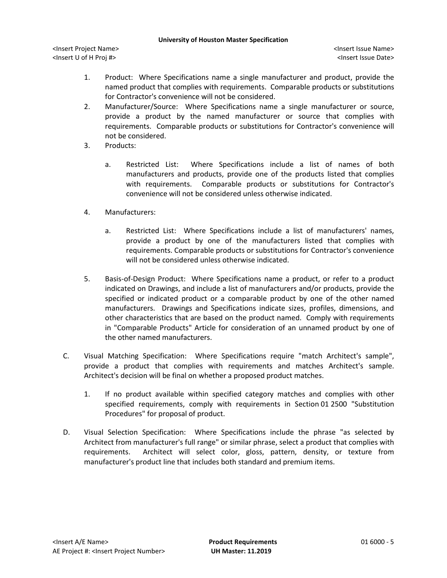#### **University of Houston Master Specification**

<Insert Project Name> <Insert Issue Name> <Insert U of H Proj #> <Insert Issue Date>

- 1. Product: Where Specifications name a single manufacturer and product, provide the named product that complies with requirements. Comparable products or substitutions for Contractor's convenience will not be considered.
- 2. Manufacturer/Source: Where Specifications name a single manufacturer or source, provide a product by the named manufacturer or source that complies with requirements. Comparable products or substitutions for Contractor's convenience will not be considered.
- 3. Products:
	- a. Restricted List: Where Specifications include a list of names of both manufacturers and products, provide one of the products listed that complies with requirements. Comparable products or substitutions for Contractor's convenience will not be considered unless otherwise indicated.
- 4. Manufacturers:
	- a. Restricted List: Where Specifications include a list of manufacturers' names, provide a product by one of the manufacturers listed that complies with requirements. Comparable products or substitutions for Contractor's convenience will not be considered unless otherwise indicated.
- 5. Basis-of-Design Product: Where Specifications name a product, or refer to a product indicated on Drawings, and include a list of manufacturers and/or products, provide the specified or indicated product or a comparable product by one of the other named manufacturers. Drawings and Specifications indicate sizes, profiles, dimensions, and other characteristics that are based on the product named. Comply with requirements in "Comparable Products" Article for consideration of an unnamed product by one of the other named manufacturers.
- C. Visual Matching Specification: Where Specifications require "match Architect's sample", provide a product that complies with requirements and matches Architect's sample. Architect's decision will be final on whether a proposed product matches.
	- 1. If no product available within specified category matches and complies with other specified requirements, comply with requirements in Section 01 2500 "Substitution Procedures" for proposal of product.
- D. Visual Selection Specification: Where Specifications include the phrase "as selected by Architect from manufacturer's full range" or similar phrase, select a product that complies with requirements. Architect will select color, gloss, pattern, density, or texture from manufacturer's product line that includes both standard and premium items.